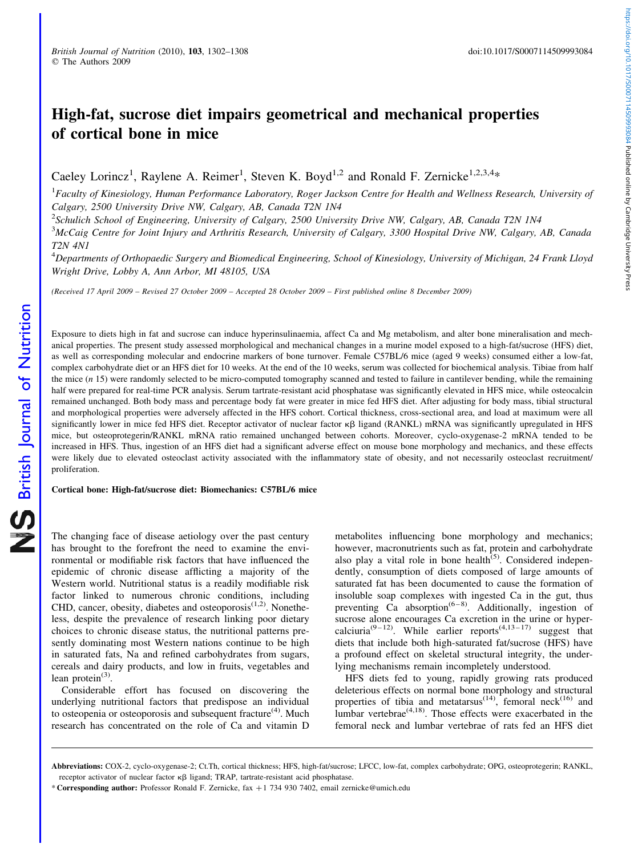# High-fat, sucrose diet impairs geometrical and mechanical properties of cortical bone in mice

Caeley Lorincz<sup>1</sup>, Raylene A. Reimer<sup>1</sup>, Steven K. Boyd<sup>1,2</sup> and Ronald F. Zernicke<sup>1,2,3,4</sup>\*

 ${}^{1}$ Faculty of Kinesiology, Human Performance Laboratory, Roger Jackson Centre for Health and Wellness Research, University of Calgary, 2500 University Drive NW, Calgary, AB, Canada T2N 1N4

<sup>2</sup>Schulich School of Engineering, University of Calgary, 2500 University Drive NW, Calgary, AB, Canada T2N 1N4

<sup>3</sup>McCaig Centre for Joint Injury and Arthritis Research, University of Calgary, 3300 Hospital Drive NW, Calgary, AB, Canada T2N 4N1

<sup>4</sup>Departments of Orthopaedic Surgery and Biomedical Engineering, School of Kinesiology, University of Michigan, 24 Frank Lloyd Wright Drive, Lobby A, Ann Arbor, MI 48105, USA

(Received 17 April 2009 – Revised 27 October 2009 – Accepted 28 October 2009 – First published online 8 December 2009)

Exposure to diets high in fat and sucrose can induce hyperinsulinaemia, affect Ca and Mg metabolism, and alter bone mineralisation and mechanical properties. The present study assessed morphological and mechanical changes in a murine model exposed to a high-fat/sucrose (HFS) diet, as well as corresponding molecular and endocrine markers of bone turnover. Female C57BL/6 mice (aged 9 weeks) consumed either a low-fat, complex carbohydrate diet or an HFS diet for 10 weeks. At the end of the 10 weeks, serum was collected for biochemical analysis. Tibiae from half the mice  $(n 15)$  were randomly selected to be micro-computed tomography scanned and tested to failure in cantilever bending, while the remaining half were prepared for real-time PCR analysis. Serum tartrate-resistant acid phosphatase was significantly elevated in HFS mice, while osteocalcin remained unchanged. Both body mass and percentage body fat were greater in mice fed HFS diet. After adjusting for body mass, tibial structural and morphological properties were adversely affected in the HFS cohort. Cortical thickness, cross-sectional area, and load at maximum were all significantly lower in mice fed HFS diet. Receptor activator of nuclear factor  $\kappa\beta$  ligand (RANKL) mRNA was significantly upregulated in HFS mice, but osteoprotegerin/RANKL mRNA ratio remained unchanged between cohorts. Moreover, cyclo-oxygenase-2 mRNA tended to be increased in HFS. Thus, ingestion of an HFS diet had a significant adverse effect on mouse bone morphology and mechanics, and these effects were likely due to elevated osteoclast activity associated with the inflammatory state of obesity, and not necessarily osteoclast recruitment/ proliferation.

Cortical bone: High-fat/sucrose diet: Biomechanics: C57BL/6 mice

The changing face of disease aetiology over the past century has brought to the forefront the need to examine the environmental or modifiable risk factors that have influenced the epidemic of chronic disease afflicting a majority of the Western world. Nutritional status is a readily modifiable risk factor linked to numerous chronic conditions, including CHD, cancer, obesity, diabetes and osteoporosis<sup>(1,2)</sup>. Nonetheless, despite the prevalence of research linking poor dietary choices to chronic disease status, the nutritional patterns presently dominating most Western nations continue to be high in saturated fats, Na and refined carbohydrates from sugars, cereals and dairy products, and low in fruits, vegetables and lean protein $(3)$ .

Considerable effort has focused on discovering the underlying nutritional factors that predispose an individual to osteopenia or osteoporosis and subsequent fracture<sup> $(4)$ </sup>. Much research has concentrated on the role of Ca and vitamin D

metabolites influencing bone morphology and mechanics; however, macronutrients such as fat, protein and carbohydrate also play a vital role in bone health $(5)$ . Considered independently, consumption of diets composed of large amounts of saturated fat has been documented to cause the formation of insoluble soap complexes with ingested Ca in the gut, thus preventing  $\overrightarrow{Ca}$  absorption<sup>(6-8)</sup>. Additionally, ingestion of sucrose alone encourages Ca excretion in the urine or hypercalciuria<sup>(9-12)</sup>. While earlier reports<sup> $(4,13-17)$ </sup> suggest that diets that include both high-saturated fat/sucrose (HFS) have a profound effect on skeletal structural integrity, the underlying mechanisms remain incompletely understood.

HFS diets fed to young, rapidly growing rats produced deleterious effects on normal bone morphology and structural properties of tibia and metatarsus<sup> $(14)$ </sup>, femoral neck<sup> $(16)$ </sup> and lumbar vertebrae<sup>(4,18)</sup>. Those effects were exacerbated in the femoral neck and lumbar vertebrae of rats fed an HFS diet

https://doi.org/10.1017/S0007114509993084 Published online by Cambridge University Press https://doi.org/10.1017/S0007114509993084 Published online by Cambridge University Press

Abbreviations: COX-2, cyclo-oxygenase-2; Ct.Th, cortical thickness; HFS, high-fat/sucrose; LFCC, low-fat, complex carbohydrate; OPG, osteoprotegerin; RANKL, receptor activator of nuclear factor  $\kappa\beta$  ligand; TRAP, tartrate-resistant acid phosphatase.

<sup>\*</sup> Corresponding author: Professor Ronald F. Zernicke, fax þ1 734 930 7402, email zernicke@umich.edu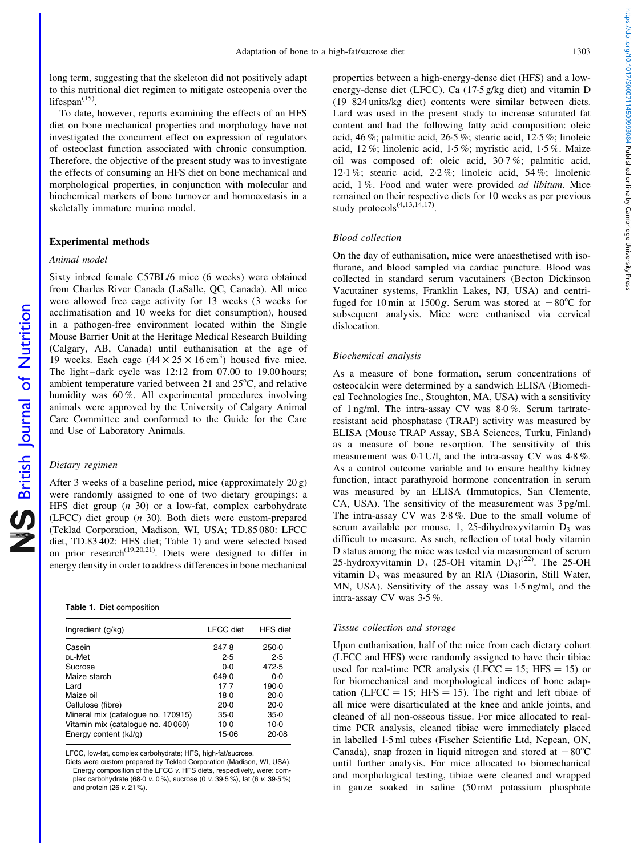long term, suggesting that the skeleton did not positively adapt to this nutritional diet regimen to mitigate osteopenia over the lifespan $(15)$ .

To date, however, reports examining the effects of an HFS diet on bone mechanical properties and morphology have not investigated the concurrent effect on expression of regulators of osteoclast function associated with chronic consumption. Therefore, the objective of the present study was to investigate the effects of consuming an HFS diet on bone mechanical and morphological properties, in conjunction with molecular and biochemical markers of bone turnover and homoeostasis in a skeletally immature murine model.

## Experimental methods

# Animal model

Sixty inbred female C57BL/6 mice (6 weeks) were obtained from Charles River Canada (LaSalle, QC, Canada). All mice were allowed free cage activity for 13 weeks (3 weeks for acclimatisation and 10 weeks for diet consumption), housed in a pathogen-free environment located within the Single Mouse Barrier Unit at the Heritage Medical Research Building (Calgary, AB, Canada) until euthanisation at the age of 19 weeks. Each cage  $(44 \times 25 \times 16 \text{ cm}^3)$  housed five mice. The light–dark cycle was 12:12 from 07.00 to 19.00 hours; ambient temperature varied between 21 and  $25^{\circ}$ C, and relative humidity was 60 %. All experimental procedures involving animals were approved by the University of Calgary Animal Care Committee and conformed to the Guide for the Care and Use of Laboratory Animals.

## Dietary regimen

After 3 weeks of a baseline period, mice (approximately 20 g) were randomly assigned to one of two dietary groupings: a HFS diet group  $(n \t30)$  or a low-fat, complex carbohydrate (LFCC) diet group (n 30). Both diets were custom-prepared (Teklad Corporation, Madison, WI, USA; TD.85 080: LFCC diet, TD.83 402: HFS diet; Table 1) and were selected based on prior research<sup> $(19,20,21)$ </sup>. Diets were designed to differ in energy density in order to address differences in bone mechanical

|  |  |  | Table 1. Diet composition |
|--|--|--|---------------------------|
|--|--|--|---------------------------|

| Ingredient (g/kg)                  | <b>LFCC</b> diet | HFS diet |
|------------------------------------|------------------|----------|
| Casein                             | 247.8            | $250-0$  |
| DL-Met                             | 2.5              | 2.5      |
| Sucrose                            | ი ი              | 472.5    |
| Maize starch                       | 649.0            | $0-0$    |
| I ard                              | 17.7             | 190.0    |
| Maize oil                          | $18-0$           | $20-0$   |
| Cellulose (fibre)                  | $20-0$           | $20-0$   |
| Mineral mix (catalogue no. 170915) | $35-0$           | $35-0$   |
| Vitamin mix (catalogue no. 40 060) | $10-0$           | $10-0$   |
| Energy content (kJ/g)              | 15.06            | 20.08    |

LFCC, low-fat, complex carbohydrate; HFS, high-fat/sucrose.

Diets were custom prepared by Teklad Corporation (Madison, WI, USA). Energy composition of the LFCC v. HFS diets, respectively, were: complex carbohydrate (68·0 v. 0 %), sucrose (0 v. 39·5 %), fat (6 v. 39·5 %) and protein  $(26 \times 21 \%)$ 

properties between a high-energy-dense diet (HFS) and a lowenergy-dense diet (LFCC). Ca (17·5 g/kg diet) and vitamin D (19 824 units/kg diet) contents were similar between diets. Lard was used in the present study to increase saturated fat content and had the following fatty acid composition: oleic acid, 46 %; palmitic acid, 26·5 %; stearic acid, 12·5 %; linoleic acid, 12 %; linolenic acid, 1·5 %; myristic acid, 1·5 %. Maize oil was composed of: oleic acid, 30·7 %; palmitic acid, 12·1 %; stearic acid, 2·2 %; linoleic acid, 54 %; linolenic acid, 1 %. Food and water were provided ad libitum. Mice remained on their respective diets for 10 weeks as per previous study protocols<sup>(4,13,14,17)</sup>

#### Blood collection

On the day of euthanisation, mice were anaesthetised with isoflurane, and blood sampled via cardiac puncture. Blood was collected in standard serum vacutainers (Becton Dickinson Vacutainer systems, Franklin Lakes, NJ, USA) and centrifuged for 10 min at 1500 g. Serum was stored at  $-80^{\circ}$ C for subsequent analysis. Mice were euthanised via cervical dislocation.

#### Biochemical analysis

As a measure of bone formation, serum concentrations of osteocalcin were determined by a sandwich ELISA (Biomedical Technologies Inc., Stoughton, MA, USA) with a sensitivity of 1 ng/ml. The intra-assay CV was 8·0 %. Serum tartrateresistant acid phosphatase (TRAP) activity was measured by ELISA (Mouse TRAP Assay, SBA Sciences, Turku, Finland) as a measure of bone resorption. The sensitivity of this measurement was 0·1 U/l, and the intra-assay CV was 4·8 %. As a control outcome variable and to ensure healthy kidney function, intact parathyroid hormone concentration in serum was measured by an ELISA (Immutopics, San Clemente, CA, USA). The sensitivity of the measurement was 3 pg/ml. The intra-assay CV was 2·8 %. Due to the small volume of serum available per mouse, 1, 25-dihydroxyvitamin  $D_3$  was difficult to measure. As such, reflection of total body vitamin D status among the mice was tested via measurement of serum 25-hydroxyvitamin  $D_3$  (25-OH vitamin  $D_3$ )<sup>(22)</sup>. The 25-OH vitamin  $D_3$  was measured by an RIA (Diasorin, Still Water, MN, USA). Sensitivity of the assay was 1·5 ng/ml, and the intra-assay CV was 3·5 %.

### Tissue collection and storage

Upon euthanisation, half of the mice from each dietary cohort (LFCC and HFS) were randomly assigned to have their tibiae used for real-time PCR analysis (LFCC  $= 15$ ; HFS  $= 15$ ) or for biomechanical and morphological indices of bone adaptation (LFCC  $= 15$ ; HFS  $= 15$ ). The right and left tibiae of all mice were disarticulated at the knee and ankle joints, and cleaned of all non-osseous tissue. For mice allocated to realtime PCR analysis, cleaned tibiae were immediately placed in labelled 1·5 ml tubes (Fischer Scientific Ltd, Nepean, ON, Canada), snap frozen in liquid nitrogen and stored at  $-80^{\circ}$ C until further analysis. For mice allocated to biomechanical and morphological testing, tibiae were cleaned and wrapped in gauze soaked in saline (50 mM potassium phosphate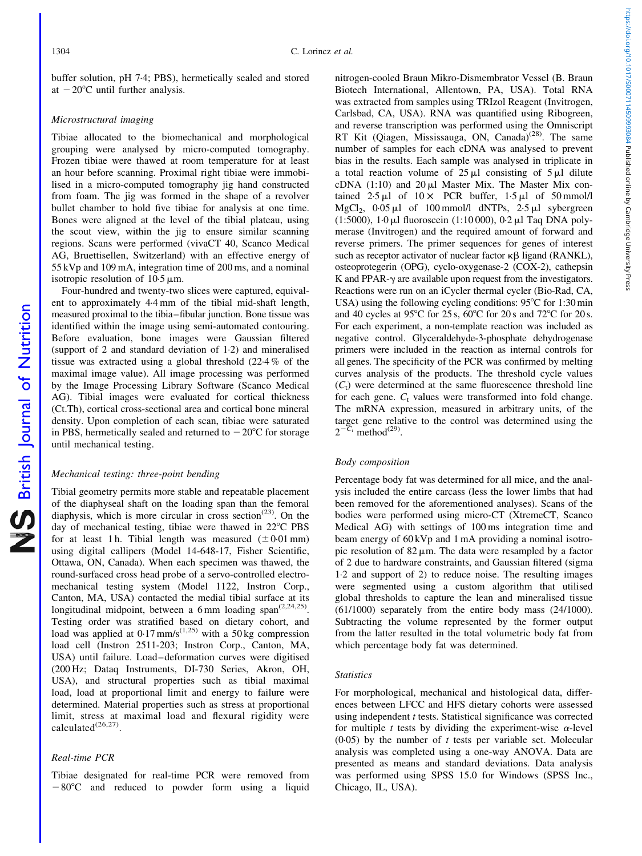British Journal of Nutrition

NS British Journal of Nutrition

buffer solution, pH 7·4; PBS), hermetically sealed and stored at  $-20^{\circ}$ C until further analysis.

## Microstructural imaging

Tibiae allocated to the biomechanical and morphological grouping were analysed by micro-computed tomography. Frozen tibiae were thawed at room temperature for at least an hour before scanning. Proximal right tibiae were immobilised in a micro-computed tomography jig hand constructed from foam. The jig was formed in the shape of a revolver bullet chamber to hold five tibiae for analysis at one time. Bones were aligned at the level of the tibial plateau, using the scout view, within the jig to ensure similar scanning regions. Scans were performed (vivaCT 40, Scanco Medical AG, Bruettisellen, Switzerland) with an effective energy of 55 kVp and 109 mA, integration time of 200 ms, and a nominal isotropic resolution of  $10.5 \mu m$ .

Four-hundred and twenty-two slices were captured, equivalent to approximately 4·4 mm of the tibial mid-shaft length, measured proximal to the tibia–fibular junction. Bone tissue was identified within the image using semi-automated contouring. Before evaluation, bone images were Gaussian filtered (support of 2 and standard deviation of 1·2) and mineralised tissue was extracted using a global threshold (22·4 % of the maximal image value). All image processing was performed by the Image Processing Library Software (Scanco Medical AG). Tibial images were evaluated for cortical thickness (Ct.Th), cortical cross-sectional area and cortical bone mineral density. Upon completion of each scan, tibiae were saturated in PBS, hermetically sealed and returned to  $-20^{\circ}$ C for storage until mechanical testing.

## Mechanical testing: three-point bending

Tibial geometry permits more stable and repeatable placement of the diaphyseal shaft on the loading span than the femoral diaphysis, which is more circular in cross section<sup>(23)</sup>. On the day of mechanical testing, tibiae were thawed in  $22^{\circ}$ C PBS for at least 1 h. Tibial length was measured  $(\pm 0.01 \text{ mm})$ using digital callipers (Model 14-648-17, Fisher Scientific, Ottawa, ON, Canada). When each specimen was thawed, the round-surfaced cross head probe of a servo-controlled electromechanical testing system (Model 1122, Instron Corp., Canton, MA, USA) contacted the medial tibial surface at its longitudinal midpoint, between a 6 mm loading span<sup>(2,24,25)</sup>. Testing order was stratified based on dietary cohort, and load was applied at  $0.17 \text{ mm/s}^{(1,25)}$  with a 50 kg compression load cell (Instron 2511-203; Instron Corp., Canton, MA, USA) until failure. Load–deformation curves were digitised (200 Hz; Dataq Instruments, DI-730 Series, Akron, OH, USA), and structural properties such as tibial maximal load, load at proportional limit and energy to failure were determined. Material properties such as stress at proportional limit, stress at maximal load and flexural rigidity were calculated $^{(26,27)}$ 

## Real-time PCR

Tibiae designated for real-time PCR were removed from  $-80^{\circ}$ C and reduced to powder form using a liquid

nitrogen-cooled Braun Mikro-Dismembrator Vessel (B. Braun Biotech International, Allentown, PA, USA). Total RNA was extracted from samples using TRIzol Reagent (Invitrogen, Carlsbad, CA, USA). RNA was quantified using Ribogreen, and reverse transcription was performed using the Omniscript RT Kit (Qiagen, Mississauga, ON, Canada)<sup>(28)</sup>. The same number of samples for each cDNA was analysed to prevent bias in the results. Each sample was analysed in triplicate in a total reaction volume of  $25 \mu l$  consisting of  $5 \mu l$  dilute cDNA  $(1:10)$  and  $20 \mu$ l Master Mix. The Master Mix contained  $2.5 \mu$ l of  $10 \times$  PCR buffer,  $1.5 \mu$ l of  $50 \text{ mmol/l}$ MgCl<sub>2</sub>,  $0.05 \text{ µl}$  of 100 mmol/l dNTPs,  $2.5 \text{ µl}$  sybergreen (1:5000),  $1.0 \mu$ l fluoroscein (1:10 000),  $0.2 \mu$ l Taq DNA polymerase (Invitrogen) and the required amount of forward and reverse primers. The primer sequences for genes of interest such as receptor activator of nuclear factor  $\kappa\beta$  ligand (RANKL), osteoprotegerin (OPG), cyclo-oxygenase-2 (COX-2), cathepsin  $K$  and PPAR- $\gamma$  are available upon request from the investigators. Reactions were run on an iCycler thermal cycler (Bio-Rad, CA, USA) using the following cycling conditions:  $95^{\circ}$ C for 1:30 min and 40 cycles at 95 $\degree$ C for 25 s, 60 $\degree$ C for 20 s and 72 $\degree$ C for 20 s. For each experiment, a non-template reaction was included as negative control. Glyceraldehyde-3-phosphate dehydrogenase primers were included in the reaction as internal controls for all genes. The specificity of the PCR was confirmed by melting curves analysis of the products. The threshold cycle values  $(C<sub>t</sub>)$  were determined at the same fluorescence threshold line for each gene.  $C_t$  values were transformed into fold change. The mRNA expression, measured in arbitrary units, of the target gene relative to the control was determined using the  $2^{-C_t}$  method<sup>(29)</sup>.

## Body composition

Percentage body fat was determined for all mice, and the analysis included the entire carcass (less the lower limbs that had been removed for the aforementioned analyses). Scans of the bodies were performed using micro-CT (XtremeCT, Scanco Medical AG) with settings of 100 ms integration time and beam energy of 60 kVp and 1 mA providing a nominal isotropic resolution of  $82 \mu m$ . The data were resampled by a factor of 2 due to hardware constraints, and Gaussian filtered (sigma 1·2 and support of 2) to reduce noise. The resulting images were segmented using a custom algorithm that utilised global thresholds to capture the lean and mineralised tissue (61/1000) separately from the entire body mass (24/1000). Subtracting the volume represented by the former output from the latter resulted in the total volumetric body fat from which percentage body fat was determined.

### **Statistics**

For morphological, mechanical and histological data, differences between LFCC and HFS dietary cohorts were assessed using independent  $t$  tests. Statistical significance was corrected for multiple t tests by dividing the experiment-wise  $\alpha$ -level  $(0.05)$  by the number of t tests per variable set. Molecular analysis was completed using a one-way ANOVA. Data are presented as means and standard deviations. Data analysis was performed using SPSS 15.0 for Windows (SPSS Inc., Chicago, IL, USA).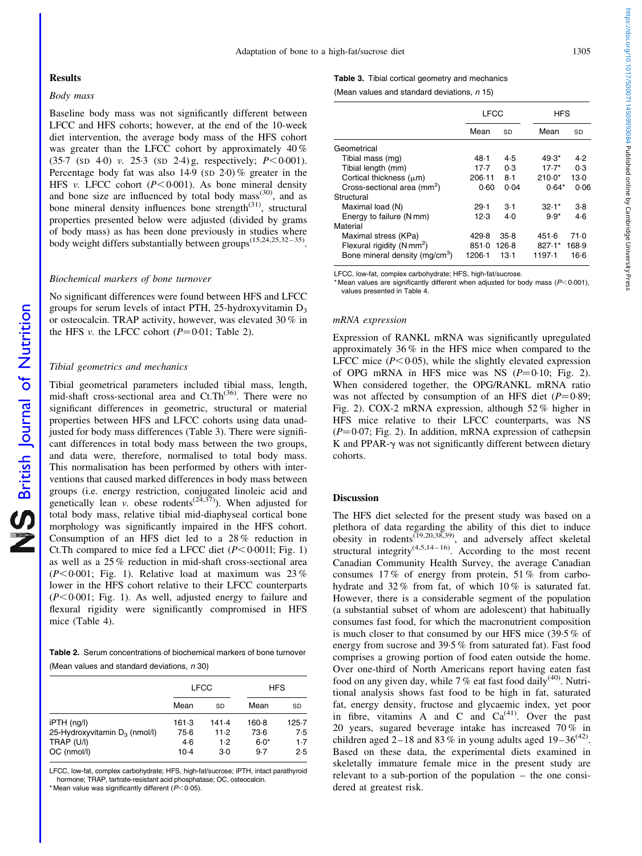#### **Results**

## Body mass

Baseline body mass was not significantly different between LFCC and HFS cohorts; however, at the end of the 10-week diet intervention, the average body mass of the HFS cohort was greater than the LFCC cohort by approximately 40 %  $(35.7 \text{ (SD 4.0)} \text{ v. } 25.3 \text{ (SD 2.4)} \text{ g, respectively; } P < 0.001$ . Percentage body fat was also  $14.9$  (SD  $2.0$ )% greater in the HFS v. LFCC cohort  $(P<0.001)$ . As bone mineral density and bone size are influenced by total body mass<sup> $(30)$ </sup>, and as bone mineral density influences bone strength<sup>(31)</sup>, structural properties presented below were adjusted (divided by grams of body mass) as has been done previously in studies where body weight differs substantially between groups<sup>(15,24,25,32–35)</sup>.

#### Biochemical markers of bone turnover

No significant differences were found between HFS and LFCC groups for serum levels of intact PTH, 25-hydroxyvitamin  $D_3$ or osteocalcin. TRAP activity, however, was elevated 30 % in the HFS v. the LFCC cohort  $(P=0.01;$  Table 2).

#### Tibial geometrics and mechanics

Tibial geometrical parameters included tibial mass, length, mid-shaft cross-sectional area and  $Ct$ . There were no significant differences in geometric, structural or material properties between HFS and LFCC cohorts using data unadjusted for body mass differences (Table 3). There were significant differences in total body mass between the two groups, and data were, therefore, normalised to total body mass. This normalisation has been performed by others with interventions that caused marked differences in body mass between groups (i.e. energy restriction, conjugated linoleic acid and genetically lean v. obese rodents<sup> $(24,37)$ </sup>). When adjusted for total body mass, relative tibial mid-diaphyseal cortical bone morphology was significantly impaired in the HFS cohort. Consumption of an HFS diet led to a 28 % reduction in Ct. Th compared to mice fed a LFCC diet  $(P<0.0011;$  [Fig. 1\)](#page-4-0) as well as a 25 % reduction in mid-shaft cross-sectional area  $(P<0.001$ ; [Fig. 1](#page-4-0)). Relative load at maximum was 23% lower in the HFS cohort relative to their LFCC counterparts  $(P<0.001$ ; [Fig. 1\)](#page-4-0). As well, adjusted energy to failure and flexural rigidity were significantly compromised in HFS mice ([Table 4\)](#page-4-0).

Table 2. Serum concentrations of biochemical markers of bone turnover (Mean values and standard deviations,  $n$  30)

|                                                                                   |                                    | <b>LFCC</b>                   |                                  | <b>HFS</b>                     |  |
|-----------------------------------------------------------------------------------|------------------------------------|-------------------------------|----------------------------------|--------------------------------|--|
|                                                                                   | Mean                               | SD                            | Mean                             | SD                             |  |
| $i$ PTH $(ng/l)$<br>25-Hydroxyvitamin $D_3$ (nmol/l)<br>TRAP (U/I)<br>OC (nmol/l) | $161-3$<br>$75-6$<br>4.6<br>$10-4$ | 141.4<br>11.2<br>1.2<br>$3-0$ | $160-8$<br>73.6<br>$6.0*$<br>9.7 | $125 - 7$<br>7.5<br>1.7<br>2.5 |  |

LFCC, low-fat, complex carbohydrate; HFS, high-fat/sucrose; iPTH, intact parathyroid hormone; TRAP, tartrate-resistant acid phosphatase; OC, osteocalcin.

\* Mean value was significantly different ( $P<0.05$ ).

Table 3. Tibial cortical geometry and mechanics (Mean values and standard deviations,  $n$  15)

|                                            | LFCC   |        | <b>HFS</b> |       |
|--------------------------------------------|--------|--------|------------|-------|
|                                            | Mean   | SD     | Mean       | SD    |
| Geometrical                                |        |        |            |       |
| Tibial mass (mg)                           | 48 1   | 4.5    | $49.3*$    | 4.2   |
| Tibial length (mm)                         | 17.7   | 0.3    | $17.7*$    | 0.3   |
| Cortical thickness $(\mu m)$               | 206-11 | $8-1$  | $210.0*$   | 13 0  |
| Cross-sectional area (mm <sup>2</sup> )    | 0.60   | 0.04   | $0.64*$    | 0.06  |
| Structural                                 |        |        |            |       |
| Maximal load (N)                           | 29.1   | $3-1$  | $32.1*$    | 3.8   |
| Energy to failure (N mm)                   | 12.3   | $4-0$  | $9.9*$     | $4-6$ |
| Material                                   |        |        |            |       |
| Maximal stress (KPa)                       | 429.8  | 35.8   | 451.6      | 71.0  |
| Flexural rigidity (N mm <sup>2</sup> )     | 851.0  | 126.8  | 827.1*     | 168.9 |
| Bone mineral density (mg/cm <sup>3</sup> ) | 1206-1 | $13-1$ | 1197-1     | 16.6  |

LFCC, low-fat, complex carbohydrate; HFS, high-fat/sucrose.

\* Mean values are significantly different when adjusted for body mass ( $P < 0.001$ ), values presented in [Table 4](#page-4-0).

#### mRNA expression

Expression of RANKL mRNA was significantly upregulated approximately 36 % in the HFS mice when compared to the LFCC mice  $(P<0.05)$ , while the slightly elevated expression of OPG mRNA in HFS mice was NS  $(P=0.10;$  [Fig. 2](#page-4-0)). When considered together, the OPG/RANKL mRNA ratio was not affected by consumption of an HFS diet  $(P=0.89)$ ; [Fig. 2\)](#page-4-0). COX-2 mRNA expression, although 52 % higher in HFS mice relative to their LFCC counterparts, was NS  $(P=0.07;$  [Fig. 2](#page-4-0)). In addition, mRNA expression of cathepsin K and PPAR- $\gamma$  was not significantly different between dietary cohorts.

## Discussion

The HFS diet selected for the present study was based on a plethora of data regarding the ability of this diet to induce obesity in rodents<sup> $(19,20,38,39)$ </sup>, and adversely affect skeletal structural integrity $(4,5,14-16)$ . According to the most recent Canadian Community Health Survey, the average Canadian consumes 17 % of energy from protein, 51 % from carbohydrate and 32% from fat, of which 10% is saturated fat. However, there is a considerable segment of the population (a substantial subset of whom are adolescent) that habitually consumes fast food, for which the macronutrient composition is much closer to that consumed by our HFS mice (39·5 % of energy from sucrose and 39·5 % from saturated fat). Fast food comprises a growing portion of food eaten outside the home. Over one-third of North Americans report having eaten fast food on any given day, while 7% eat fast food daily<sup>(40)</sup>. Nutritional analysis shows fast food to be high in fat, saturated fat, energy density, fructose and glycaemic index, yet poor in fibre, vitamins A and C and  $Ca<sup>(41)</sup>$ . Over the past 20 years, sugared beverage intake has increased  $70\%$  in children aged 2–18 and 83% in young adults aged 19–36<sup>(42)</sup>. Based on these data, the experimental diets examined in skeletally immature female mice in the present study are relevant to a sub-portion of the population – the one considered at greatest risk.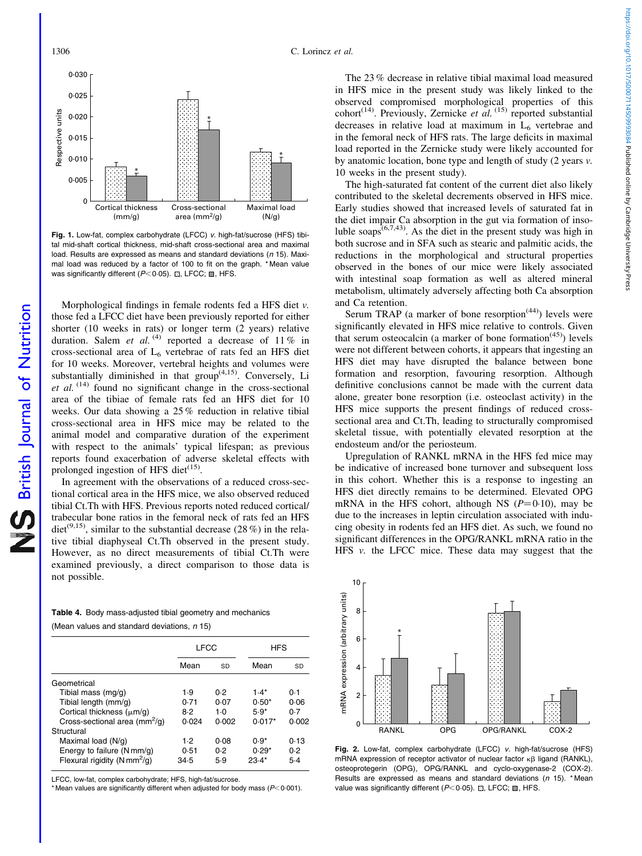<span id="page-4-0"></span>

Fig. 1. Low-fat, complex carbohydrate (LFCC) v. high-fat/sucrose (HFS) tibital mid-shaft cortical thickness, mid-shaft cross-sectional area and maximal load. Results are expressed as means and standard deviations (n 15). Maximal load was reduced by a factor of 100 to fit on the graph. \* Mean value was significantly different ( $P$ <0.05).  $\boxdot$ , LFCC;  $\blacksquare$ , HFS.

Morphological findings in female rodents fed a HFS diet v. those fed a LFCC diet have been previously reported for either shorter (10 weeks in rats) or longer term (2 years) relative duration. Salem et al. <sup>(4)</sup> reported a decrease of 11 % in cross-sectional area of  $L_6$  vertebrae of rats fed an HFS diet for 10 weeks. Moreover, vertebral heights and volumes were substantially diminished in that  $\operatorname{group}^{(4,15)}$ . Conversely, Li et al.  $(14)$  found no significant change in the cross-sectional area of the tibiae of female rats fed an HFS diet for 10 weeks. Our data showing a 25 % reduction in relative tibial cross-sectional area in HFS mice may be related to the animal model and comparative duration of the experiment with respect to the animals' typical lifespan; as previous reports found exacerbation of adverse skeletal effects with prolonged ingestion of HFS diet<sup>(15)</sup>.

In agreement with the observations of a reduced cross-sectional cortical area in the HFS mice, we also observed reduced tibial Ct.Th with HFS. Previous reports noted reduced cortical/ trabecular bone ratios in the femoral neck of rats fed an HFS diet<sup>(9,15)</sup>, similar to the substantial decrease (28 %) in the relative tibial diaphyseal Ct.Th observed in the present study. However, as no direct measurements of tibial Ct.Th were examined previously, a direct comparison to those data is not possible.

Table 4. Body mass-adjusted tibial geometry and mechanics (Mean values and standard deviations,  $n$  15)

|                                               | <b>LFCC</b> |             |          | <b>HFS</b> |  |
|-----------------------------------------------|-------------|-------------|----------|------------|--|
|                                               | Mean        | SD          | Mean     | SD         |  |
| Geometrical                                   |             |             |          |            |  |
| Tibial mass (mg/g)                            | 1.9         | 0.2         | $1.4*$   | 0.1        |  |
| Tibial length (mm/g)                          | 0.71        | 0.07        | $0.50*$  | 0.06       |  |
| Cortical thickness $(\mu m/q)$                | 8.2         | 1 $\cdot$ 0 | $5.9*$   | 0.7        |  |
| Cross-sectional area $\text{(mm}^2\text{/q)}$ | 0.024       | 0.002       | $0.017*$ | 0.002      |  |
| Structural                                    |             |             |          |            |  |
| Maximal load (N/g)                            | 1.2         | 0.08        | $0.9*$   | 0.13       |  |
| Energy to failure (N mm/g)                    | 0.51        | 0.2         | $0.29*$  | 0.2        |  |
| Flexural rigidity (N mm <sup>2</sup> /g)      | 34.5        | 5.9         | $23.4*$  | $5-4$      |  |

LFCC, low-fat, complex carbohydrate; HFS, high-fat/sucrose.

\* Mean values are significantly different when adjusted for body mass ( $P$  < 0.001).

The 23 % decrease in relative tibial maximal load measured in HFS mice in the present study was likely linked to the observed compromised morphological properties of this cohort<sup>(14)</sup>. Previously, Zernicke *et al.*  $(15)$  reported substantial decreases in relative load at maximum in  $L<sub>6</sub>$  vertebrae and in the femoral neck of HFS rats. The large deficits in maximal load reported in the Zernicke study were likely accounted for by anatomic location, bone type and length of study (2 years v. 10 weeks in the present study).

The high-saturated fat content of the current diet also likely contributed to the skeletal decrements observed in HFS mice. Early studies showed that increased levels of saturated fat in the diet impair Ca absorption in the gut via formation of insoluble soaps<sup> $(6,7,43)$ </sup>. As the diet in the present study was high in both sucrose and in SFA such as stearic and palmitic acids, the reductions in the morphological and structural properties observed in the bones of our mice were likely associated with intestinal soap formation as well as altered mineral metabolism, ultimately adversely affecting both Ca absorption and Ca retention.

Serum TRAP (a marker of bone resorption<sup> $(44)$ </sup>) levels were significantly elevated in HFS mice relative to controls. Given that serum osteocalcin (a marker of bone formation<sup> $(45)$ </sup>) levels were not different between cohorts, it appears that ingesting an HFS diet may have disrupted the balance between bone formation and resorption, favouring resorption. Although definitive conclusions cannot be made with the current data alone, greater bone resorption (i.e. osteoclast activity) in the HFS mice supports the present findings of reduced crosssectional area and Ct.Th, leading to structurally compromised skeletal tissue, with potentially elevated resorption at the endosteum and/or the periosteum.

Upregulation of RANKL mRNA in the HFS fed mice may be indicative of increased bone turnover and subsequent loss in this cohort. Whether this is a response to ingesting an HFS diet directly remains to be determined. Elevated OPG mRNA in the HFS cohort, although NS  $(P=0.10)$ , may be due to the increases in leptin circulation associated with inducing obesity in rodents fed an HFS diet. As such, we found no significant differences in the OPG/RANKL mRNA ratio in the HFS v. the LFCC mice. These data may suggest that the



RANKL OPG OPG/RANKL COX-2

 $\overline{0}$ 

2

4

mRNA expression (arbitrary units)

mRNA expression (arbitrary units)

6

\*

8

10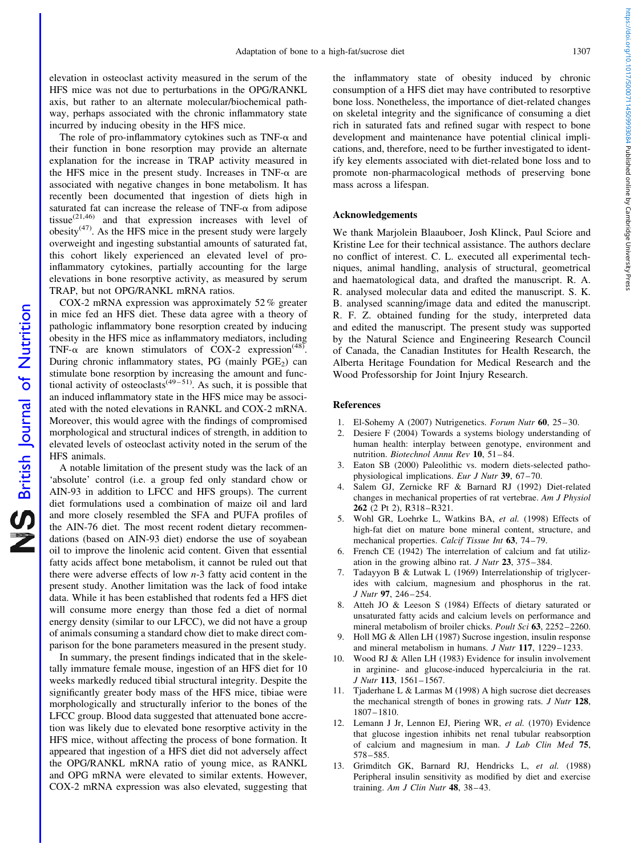elevation in osteoclast activity measured in the serum of the HFS mice was not due to perturbations in the OPG/RANKL axis, but rather to an alternate molecular/biochemical pathway, perhaps associated with the chronic inflammatory state incurred by inducing obesity in the HFS mice.

The role of pro-inflammatory cytokines such as  $TNF-\alpha$  and their function in bone resorption may provide an alternate explanation for the increase in TRAP activity measured in the HFS mice in the present study. Increases in TNF- $\alpha$  are associated with negative changes in bone metabolism. It has recently been documented that ingestion of diets high in saturated fat can increase the release of  $TNF-\alpha$  from adipose tissue $^{(21,46)}$  and that expression increases with level of obesity $(47)$ . As the HFS mice in the present study were largely overweight and ingesting substantial amounts of saturated fat, this cohort likely experienced an elevated level of proinflammatory cytokines, partially accounting for the large elevations in bone resorptive activity, as measured by serum TRAP, but not OPG/RANKL mRNA ratios.

COX-2 mRNA expression was approximately 52 % greater in mice fed an HFS diet. These data agree with a theory of pathologic inflammatory bone resorption created by inducing obesity in the HFS mice as inflammatory mediators, including TNF- $\alpha$  are known stimulators of COX-2 expression<sup>(48)</sup>. During chronic inflammatory states, PG (mainly  $PGE<sub>2</sub>$ ) can stimulate bone resorption by increasing the amount and functional activity of osteoclasts<sup> $(49-51)$ </sup>. As such, it is possible that an induced inflammatory state in the HFS mice may be associated with the noted elevations in RANKL and COX-2 mRNA. Moreover, this would agree with the findings of compromised morphological and structural indices of strength, in addition to elevated levels of osteoclast activity noted in the serum of the HFS animals.

A notable limitation of the present study was the lack of an 'absolute' control (i.e. a group fed only standard chow or AIN-93 in addition to LFCC and HFS groups). The current diet formulations used a combination of maize oil and lard and more closely resembled the SFA and PUFA profiles of the AIN-76 diet. The most recent rodent dietary recommendations (based on AIN-93 diet) endorse the use of soyabean oil to improve the linolenic acid content. Given that essential fatty acids affect bone metabolism, it cannot be ruled out that there were adverse effects of low  $n-3$  fatty acid content in the present study. Another limitation was the lack of food intake data. While it has been established that rodents fed a HFS diet will consume more energy than those fed a diet of normal energy density (similar to our LFCC), we did not have a group of animals consuming a standard chow diet to make direct comparison for the bone parameters measured in the present study.

In summary, the present findings indicated that in the skeletally immature female mouse, ingestion of an HFS diet for 10 weeks markedly reduced tibial structural integrity. Despite the significantly greater body mass of the HFS mice, tibiae were morphologically and structurally inferior to the bones of the LFCC group. Blood data suggested that attenuated bone accretion was likely due to elevated bone resorptive activity in the HFS mice, without affecting the process of bone formation. It appeared that ingestion of a HFS diet did not adversely affect the OPG/RANKL mRNA ratio of young mice, as RANKL and OPG mRNA were elevated to similar extents. However, COX-2 mRNA expression was also elevated, suggesting that the inflammatory state of obesity induced by chronic consumption of a HFS diet may have contributed to resorptive bone loss. Nonetheless, the importance of diet-related changes on skeletal integrity and the significance of consuming a diet rich in saturated fats and refined sugar with respect to bone development and maintenance have potential clinical implications, and, therefore, need to be further investigated to identify key elements associated with diet-related bone loss and to promote non-pharmacological methods of preserving bone mass across a lifespan.

#### Acknowledgements

We thank Marjolein Blaauboer, Josh Klinck, Paul Sciore and Kristine Lee for their technical assistance. The authors declare no conflict of interest. C. L. executed all experimental techniques, animal handling, analysis of structural, geometrical and haematological data, and drafted the manuscript. R. A. R. analysed molecular data and edited the manuscript. S. K. B. analysed scanning/image data and edited the manuscript. R. F. Z. obtained funding for the study, interpreted data and edited the manuscript. The present study was supported by the Natural Science and Engineering Research Council of Canada, the Canadian Institutes for Health Research, the Alberta Heritage Foundation for Medical Research and the Wood Professorship for Joint Injury Research.

## References

- 1. El-Sohemy A (2007) Nutrigenetics. Forum Nutr 60, 25–30.
- 2. Desiere F (2004) Towards a systems biology understanding of human health: interplay between genotype, environment and nutrition. Biotechnol Annu Rev 10, 51–84.
- 3. Eaton SB (2000) Paleolithic vs. modern diets-selected pathophysiological implications. Eur J Nutr 39, 67–70.
- 4. Salem GJ, Zernicke RF & Barnard RJ (1992) Diet-related changes in mechanical properties of rat vertebrae. Am J Physiol 262 (2 Pt 2), R318–R321.
- 5. Wohl GR, Loehrke L, Watkins BA, et al. (1998) Effects of high-fat diet on mature bone mineral content, structure, and mechanical properties. Calcif Tissue Int 63, 74–79.
- 6. French CE (1942) The interrelation of calcium and fat utilization in the growing albino rat. J Nutr 23, 375–384.
- 7. Tadayyon B & Lutwak L (1969) Interrelationship of triglycerides with calcium, magnesium and phosphorus in the rat. J Nutr 97, 246–254.
- 8. Atteh JO & Leeson S (1984) Effects of dietary saturated or unsaturated fatty acids and calcium levels on performance and mineral metabolism of broiler chicks. Poult Sci 63, 2252–2260.
- 9. Holl MG & Allen LH (1987) Sucrose ingestion, insulin response and mineral metabolism in humans. J Nutr 117, 1229–1233.
- 10. Wood RJ & Allen LH (1983) Evidence for insulin involvement in arginine- and glucose-induced hypercalciuria in the rat. J Nutr 113, 1561–1567.
- 11. Tjaderhane L & Larmas M (1998) A high sucrose diet decreases the mechanical strength of bones in growing rats. J Nutr 128, 1807–1810.
- 12. Lemann J Jr, Lennon EJ, Piering WR, et al. (1970) Evidence that glucose ingestion inhibits net renal tubular reabsorption of calcium and magnesium in man. J Lab Clin Med 75, 578–585.
- 13. Grimditch GK, Barnard RJ, Hendricks L, et al. (1988) Peripheral insulin sensitivity as modified by diet and exercise training. Am J Clin Nutr  $48$ ,  $38-43$ .